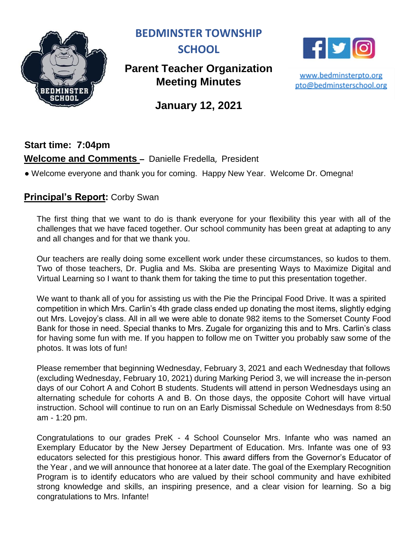

**BEDMINSTER TOWNSHIP** 



# **Parent Teacher Organization Meeting Minutes**



www.bedminsterpto.org pto@bedminsterschool.org

**January 12, 2021**

## **Start time: 7:04pm Welcome and Comments –** Danielle Fredella, President

● Welcome everyone and thank you for coming. Happy New Year. Welcome Dr. Omegna!

#### **Principal's Report:** Corby Swan

The first thing that we want to do is thank everyone for your flexibility this year with all of the challenges that we have faced together. Our school community has been great at adapting to any and all changes and for that we thank you.

Our teachers are really doing some excellent work under these circumstances, so kudos to them. Two of those teachers, Dr. Puglia and Ms. Skiba are presenting Ways to Maximize Digital and Virtual Learning so I want to thank them for taking the time to put this presentation together.

We want to thank all of you for assisting us with the Pie the Principal Food Drive. It was a spirited competition in which Mrs. Carlin's 4th grade class ended up donating the most items, slightly edging out Mrs. Lovejoy's class. All in all we were able to donate 982 items to the Somerset County Food Bank for those in need. Special thanks to Mrs. Zugale for organizing this and to Mrs. Carlin's class for having some fun with me. If you happen to follow me on Twitter you probably saw some of the photos. It was lots of fun!

Please remember that beginning Wednesday, February 3, 2021 and each Wednesday that follows (excluding Wednesday, February 10, 2021) during Marking Period 3, we will increase the in-person days of our Cohort A and Cohort B students. Students will attend in person Wednesdays using an alternating schedule for cohorts A and B. On those days, the opposite Cohort will have virtual instruction. School will continue to run on an Early Dismissal Schedule on Wednesdays from 8:50 am - 1:20 pm.

Congratulations to our grades PreK - 4 School Counselor Mrs. Infante who was named an Exemplary Educator by the New Jersey Department of Education. Mrs. Infante was one of 93 educators selected for this prestigious honor. This award differs from the Governor's Educator of the Year , and we will announce that honoree at a later date. The goal of the Exemplary Recognition Program is to identify educators who are valued by their school community and have exhibited strong knowledge and skills, an inspiring presence, and a clear vision for learning. So a big congratulations to Mrs. Infante!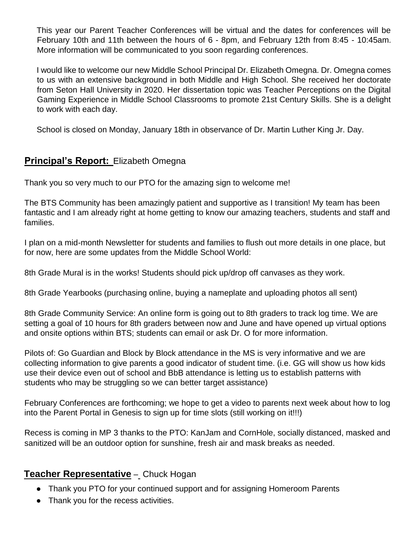This year our Parent Teacher Conferences will be virtual and the dates for conferences will be February 10th and 11th between the hours of 6 - 8pm, and February 12th from 8:45 - 10:45am. More information will be communicated to you soon regarding conferences.

I would like to welcome our new Middle School Principal Dr. Elizabeth Omegna. Dr. Omegna comes to us with an extensive background in both Middle and High School. She received her doctorate from Seton Hall University in 2020. Her dissertation topic was Teacher Perceptions on the Digital Gaming Experience in Middle School Classrooms to promote 21st Century Skills. She is a delight to work with each day.

School is closed on Monday, January 18th in observance of Dr. Martin Luther King Jr. Day.

#### **Principal's Report:** Elizabeth Omegna

Thank you so very much to our PTO for the amazing sign to welcome me!

The BTS Community has been amazingly patient and supportive as I transition! My team has been fantastic and I am already right at home getting to know our amazing teachers, students and staff and families.

I plan on a mid-month Newsletter for students and families to flush out more details in one place, but for now, here are some updates from the Middle School World:

8th Grade Mural is in the works! Students should pick up/drop off canvases as they work.

8th Grade Yearbooks (purchasing online, buying a nameplate and uploading photos all sent)

8th Grade Community Service: An online form is going out to 8th graders to track log time. We are setting a goal of 10 hours for 8th graders between now and June and have opened up virtual options and onsite options within BTS; students can email or ask Dr. O for more information.

Pilots of: Go Guardian and Block by Block attendance in the MS is very informative and we are collecting information to give parents a good indicator of student time. (i.e. GG will show us how kids use their device even out of school and BbB attendance is letting us to establish patterns with students who may be struggling so we can better target assistance)

February Conferences are forthcoming; we hope to get a video to parents next week about how to log into the Parent Portal in Genesis to sign up for time slots (still working on it!!!)

Recess is coming in MP 3 thanks to the PTO: KanJam and CornHole, socially distanced, masked and sanitized will be an outdoor option for sunshine, fresh air and mask breaks as needed.

#### **Teacher Representative** – Chuck Hogan

- Thank you PTO for your continued support and for assigning Homeroom Parents
- Thank you for the recess activities.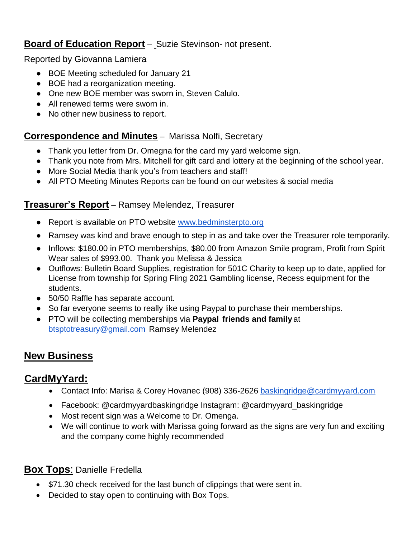### **Board of Education Report** – Suzie Stevinson- not present.

Reported by Giovanna Lamiera

- BOE Meeting scheduled for January 21
- BOE had a reorganization meeting.
- One new BOE member was sworn in, Steven Calulo.
- All renewed terms were sworn in.
- No other new business to report.

#### **Correspondence and Minutes** – Marissa Nolfi, Secretary

- Thank you letter from Dr. Omegna for the card my yard welcome sign.
- Thank you note from Mrs. Mitchell for gift card and lottery at the beginning of the school year.
- More Social Media thank you's from teachers and staff!
- All PTO Meeting Minutes Reports can be found on our websites & social media

#### **Treasurer's Report** – Ramsey Melendez, Treasurer

- Report is available on PTO website [www.bedminsterpto.org](http://www.bedminsterpto.org/)
- Ramsey was kind and brave enough to step in as and take over the Treasurer role temporarily.
- Inflows: \$180.00 in PTO memberships, \$80.00 from Amazon Smile program, Profit from Spirit Wear sales of \$993.00. Thank you Melissa & Jessica
- Outflows: Bulletin Board Supplies, registration for 501C Charity to keep up to date, applied for License from township for Spring Fling 2021 Gambling license, Recess equipment for the students.
- 50/50 Raffle has separate account.
- So far everyone seems to really like using Paypal to purchase their memberships.
- PTO will be collecting memberships via **Paypal friends and family** at btsptotreasury@gmail.com Ramsey Melendez

## **New Business**

### **CardMyYard:**

- Contact Info: Marisa & Corey Hovanec (908) 336-2626 baskingridge@cardmyyard.com
- Facebook: @cardmyyardbaskingridge Instagram: @cardmyyard\_baskingridge
- Most recent sign was a Welcome to Dr. Omenga.
- We will continue to work with Marissa going forward as the signs are very fun and exciting and the company come highly recommended

#### **Box Tops**: Danielle Fredella

- \$71.30 check received for the last bunch of clippings that were sent in.
- Decided to stay open to continuing with Box Tops.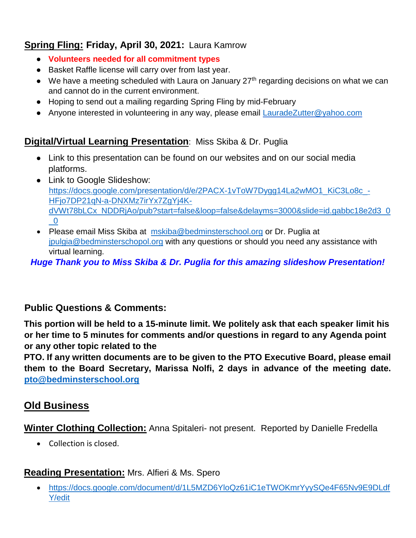## **Spring Fling: Friday, April 30, 2021:** Laura Kamrow

- **Volunteers needed for all commitment types**
- Basket Raffle license will carry over from last year.
- $\bullet$  We have a meeting scheduled with Laura on January 27<sup>th</sup> regarding decisions on what we can and cannot do in the current environment.
- Hoping to send out a mailing regarding Spring Fling by mid-February
- Anyone interested in volunteering in any way, please email [LauradeZutter@yahoo.com](mailto:LauradeZutter@yahoo.com)

## **Digital/Virtual Learning Presentation**: Miss Skiba & Dr. Puglia

- Link to this presentation can be found on our websites and on our social media platforms.
- Link to Google Slideshow: [https://docs.google.com/presentation/d/e/2PACX-1vToW7Dygg14La2wMO1\\_KiC3Lo8c\\_-](https://docs.google.com/presentation/d/e/2PACX-1vToW7Dygg14La2wMO1_KiC3Lo8c_-HFjo7DP21qN-a-DNXMz7irYx7ZgYj4K-dVWt78bLCx_NDDRjAo/pub?start=false&loop=false&delayms=3000&slide=id.gabbc18e2d3_0_0) [HFjo7DP21qN-a-DNXMz7irYx7ZgYj4K](https://docs.google.com/presentation/d/e/2PACX-1vToW7Dygg14La2wMO1_KiC3Lo8c_-HFjo7DP21qN-a-DNXMz7irYx7ZgYj4K-dVWt78bLCx_NDDRjAo/pub?start=false&loop=false&delayms=3000&slide=id.gabbc18e2d3_0_0)[dVWt78bLCx\\_NDDRjAo/pub?start=false&loop=false&delayms=3000&slide=id.gabbc18e2d3\\_0](https://docs.google.com/presentation/d/e/2PACX-1vToW7Dygg14La2wMO1_KiC3Lo8c_-HFjo7DP21qN-a-DNXMz7irYx7ZgYj4K-dVWt78bLCx_NDDRjAo/pub?start=false&loop=false&delayms=3000&slide=id.gabbc18e2d3_0_0)  $\overline{0}$
- Please email Miss Skiba at [mskiba@bedminsterschool.org](mailto:mskiba@bedminsterschool.org) or Dr. Puglia at [jpulgia@bedminsterschopol.org](mailto:jpulgia@bedminsterschopol.org) with any questions or should you need any assistance with virtual learning.

*Huge Thank you to Miss Skiba & Dr. Puglia for this amazing slideshow Presentation!* 

### **Public Questions & Comments:**

**This portion will be held to a 15-minute limit. We politely ask that each speaker limit his or her time to 5 minutes for comments and/or questions in regard to any Agenda point or any other topic related to the**

**PTO. If any written documents are to be given to the PTO Executive Board, please email them to the Board Secretary, Marissa Nolfi, 2 days in advance of the meeting date. [pto@bedminsterschool.org](mailto:pto@bedminsterschool.org)**

## **Old Business**

**Winter Clothing Collection:** Anna Spitaleri- not present. Reported by Danielle Fredella

• Collection is closed.

## **Reading Presentation:** Mrs. Alfieri & Ms. Spero

 [https://docs.google.com/document/d/1L5MZD6YloQz61iC1eTWOKmrYyySQe4F65Nv9E9DLdf](https://docs.google.com/document/d/1L5MZD6YloQz61iC1eTWOKmrYyySQe4F65Nv9E9DLdfY/edit) [Y/edit](https://docs.google.com/document/d/1L5MZD6YloQz61iC1eTWOKmrYyySQe4F65Nv9E9DLdfY/edit)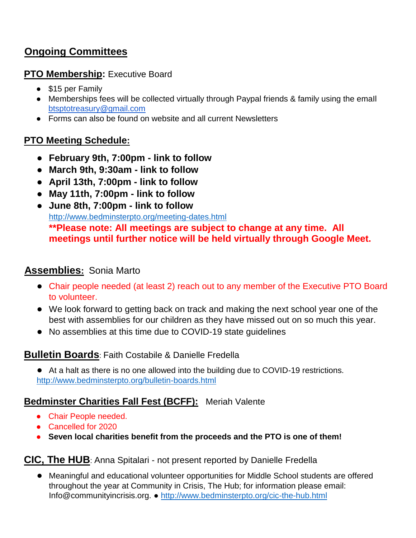# **Ongoing Committees**

#### **PTO Membership:** Executive Board

- \$15 per Family
- Memberships fees will be collected virtually through Paypal friends & family using the emaIl btsptotreasury@gmail.com
- Forms can also be found on website and all current Newsletters

### **PTO Meeting Schedule:**

- **● February 9th, 7:00pm - link to follow**
- **● March 9th, 9:30am - link to follow**
- **● April 13th, 7:00pm - link to follow**
- **● May 11th, 7:00pm - link to follow**
- **● June 8th, 7:00pm - link to follow**  <http://www.bedminsterpto.org/meeting-dates.html> **\*\*Please note: All meetings are subject to change at any time. All meetings until further notice will be held virtually through Google Meet.**

### **Assemblies:** Sonia Marto

- **●** Chair people needed (at least 2) reach out to any member of the Executive PTO Board to volunteer.
- **●** We look forward to getting back on track and making the next school year one of the best with assemblies for our children as they have missed out on so much this year.
- **●** No assemblies at this time due to COVID-19 state guidelines

### **Bulletin Boards**: Faith Costabile & Danielle Fredella

**●** At a halt as there is no one allowed into the building due to COVID-19 restrictions. <http://www.bedminsterpto.org/bulletin-boards.html>

### **Bedminster Charities Fall Fest (BCFF):** Meriah Valente

- Chair People needed.
- Cancelled for 2020
- **Seven local charities benefit from the proceeds and the PTO is one of them!**

**CIC, The HUB**: Anna Spitalari - not present reported by Danielle Fredella

**●** Meaningful and educational volunteer opportunities for Middle School students are offered throughout the year at Community in Crisis, The Hub; for information please email: Info@communityincrisis.org. ●<http://www.bedminsterpto.org/cic-the-hub.html>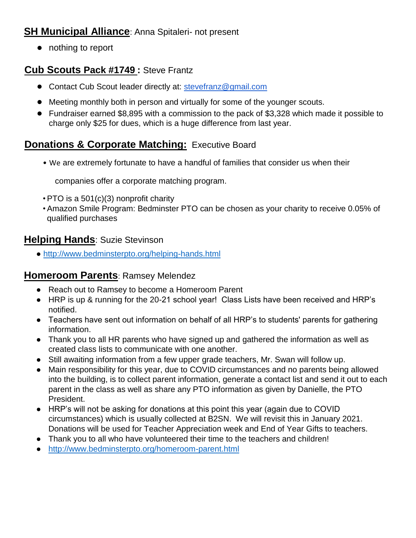## **SH Municipal Alliance: Anna Spitaleri- not present**

**●** nothing to report

## **Cub Scouts Pack #1749 :** Steve Frantz

- **●** Contact Cub Scout leader directly at: stevefranz@gmail.com
- **●** Meeting monthly both in person and virtually for some of the younger scouts.
- **●** Fundraiser earned \$8,895 with a commission to the pack of \$3,328 which made it possible to charge only \$25 for dues, which is a huge difference from last year.

## **Donations & Corporate Matching: Executive Board**

• We are extremely fortunate to have a handful of families that consider us when their

companies offer a corporate matching program.

- PTO is a 501(c)(3) nonprofit charity
- Amazon Smile Program: Bedminster PTO can be chosen as your charity to receive 0.05% of qualified purchases

### **Helping Hands**: Suzie Stevinson

●<http://www.bedminsterpto.org/helping-hands.html>

### **Homeroom Parents**: Ramsey Melendez

- Reach out to Ramsey to become a Homeroom Parent
- HRP is up & running for the 20-21 school year! Class Lists have been received and HRP's notified.
- Teachers have sent out information on behalf of all HRP's to students' parents for gathering information.
- Thank you to all HR parents who have signed up and gathered the information as well as created class lists to communicate with one another.
- Still awaiting information from a few upper grade teachers, Mr. Swan will follow up.
- Main responsibility for this year, due to COVID circumstances and no parents being allowed into the building, is to collect parent information, generate a contact list and send it out to each parent in the class as well as share any PTO information as given by Danielle, the PTO President.
- HRP's will not be asking for donations at this point this year (again due to COVID circumstances) which is usually collected at B2SN. We will revisit this in January 2021. Donations will be used for Teacher Appreciation week and End of Year Gifts to teachers.
- Thank you to all who have volunteered their time to the teachers and children!
- <http://www.bedminsterpto.org/homeroom-parent.html>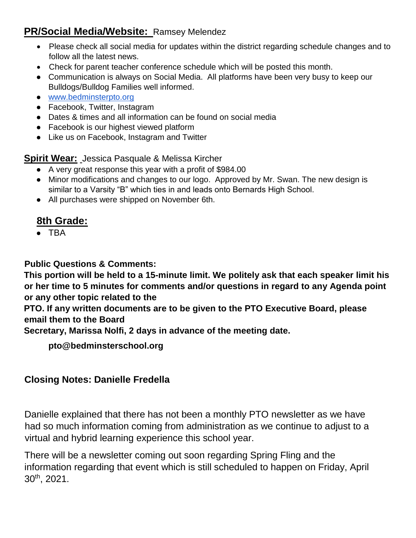## **PR/Social Media/Website:** Ramsey Melendez

- Please check all social media for updates within the district regarding schedule changes and to follow all the latest news.
- Check for parent teacher conference schedule which will be posted this month.
- Communication is always on Social Media. All platforms have been very busy to keep our Bulldogs/Bulldog Families well informed.
- [www.bedminsterpto.org](http://www.bedminsterpto.org/)
- Facebook, Twitter, Instagram
- Dates & times and all information can be found on social media
- Facebook is our highest viewed platform
- Like us on Facebook, Instagram and Twitter

**Spirit Wear:** Jessica Pasquale & Melissa Kircher

- A very great response this year with a profit of \$984.00
- Minor modifications and changes to our logo. Approved by Mr. Swan. The new design is similar to a Varsity "B" which ties in and leads onto Bernards High School.
- All purchases were shipped on November 6th.

# **8th Grade:**

● TBA

**Public Questions & Comments:** 

**This portion will be held to a 15-minute limit. We politely ask that each speaker limit his or her time to 5 minutes for comments and/or questions in regard to any Agenda point or any other topic related to the** 

**PTO. If any written documents are to be given to the PTO Executive Board, please email them to the Board** 

**Secretary, Marissa Nolfi, 2 days in advance of the meeting date.** 

**pto@bedminsterschool.org** 

### **Closing Notes: Danielle Fredella**

Danielle explained that there has not been a monthly PTO newsletter as we have had so much information coming from administration as we continue to adjust to a virtual and hybrid learning experience this school year.

There will be a newsletter coming out soon regarding Spring Fling and the information regarding that event which is still scheduled to happen on Friday, April 30th, 2021.